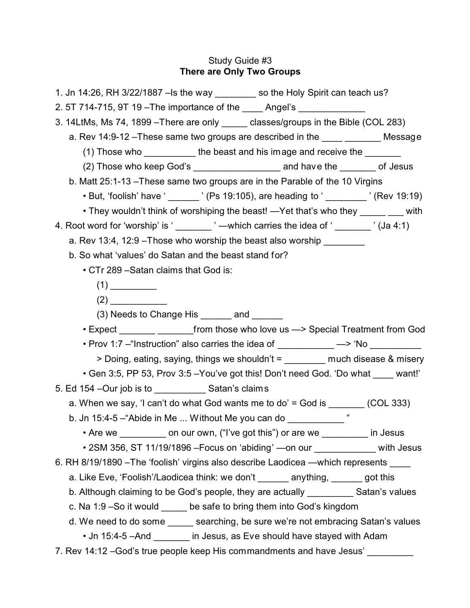# Study Guide #3 **There are Only Two Groups**

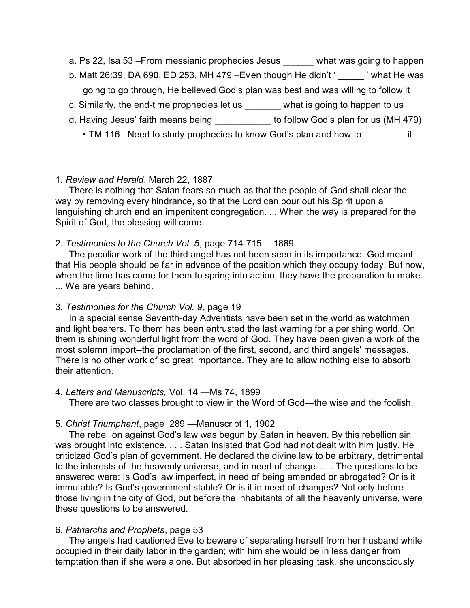- a. Ps 22, Isa 53 From messianic prophecies Jesus what was going to happen
- b. Matt 26:39, DA 690, ED 253, MH 479 Even though He didn't ' $\cdot$  ' what He was going to go through, He believed God's plan was best and was willing to follow it
- c. Similarly, the end-time prophecies let us what is going to happen to us
- d. Having Jesus' faith means being \_\_\_\_\_\_\_\_\_\_\_ to follow God's plan for us (MH 479)
	- TM 116 –Need to study prophecies to know God's plan and how to it

### 1. *Review and Herald*, March 22, 1887

There is nothing that Satan fears so much as that the people of God shall clear the way by removing every hindrance, so that the Lord can pour out his Spirit upon a languishing church and an impenitent congregation. ... When the way is prepared for the Spirit of God, the blessing will come.

### 2. *Testimonies to the Church Vol. 5*, page 714-715 —1889

The peculiar work of the third angel has not been seen in its importance. God meant that His people should be far in advance of the position which they occupy today. But now, when the time has come for them to spring into action, they have the preparation to make. ... We are years behind.

#### 3. *Testimonies for the Church Vol. 9*, page 19

In a special sense Seventh-day Adventists have been set in the world as watchmen and light bearers. To them has been entrusted the last warning for a perishing world. On them is shining wonderful light from the word of God. They have been given a work of the most solemn import--the proclamation of the first, second, and third angels' messages. There is no other work of so great importance. They are to allow nothing else to absorb their attention.

#### 4. *Letters and Manuscripts,* Vol. 14 —Ms 74, 1899

There are two classes brought to view in the Word of God—the wise and the foolish.

## 5. *Christ Triumphant*, page 289 —Manuscript 1, 1902

The rebellion against God's law was begun by Satan in heaven. By this rebellion sin was brought into existence. . . . Satan insisted that God had not dealt with him justly. He criticized God's plan of government. He declared the divine law to be arbitrary, detrimental to the interests of the heavenly universe, and in need of change. . . . The questions to be answered were: Is God's law imperfect, in need of being amended or abrogated? Or is it immutable? Is God's government stable? Or is it in need of changes? Not only before those living in the city of God, but before the inhabitants of all the heavenly universe, were these questions to be answered.

## 6. *Patriarchs and Prophets*, page 53

The angels had cautioned Eve to beware of separating herself from her husband while occupied in their daily labor in the garden; with him she would be in less danger from temptation than if she were alone. But absorbed in her pleasing task, she unconsciously